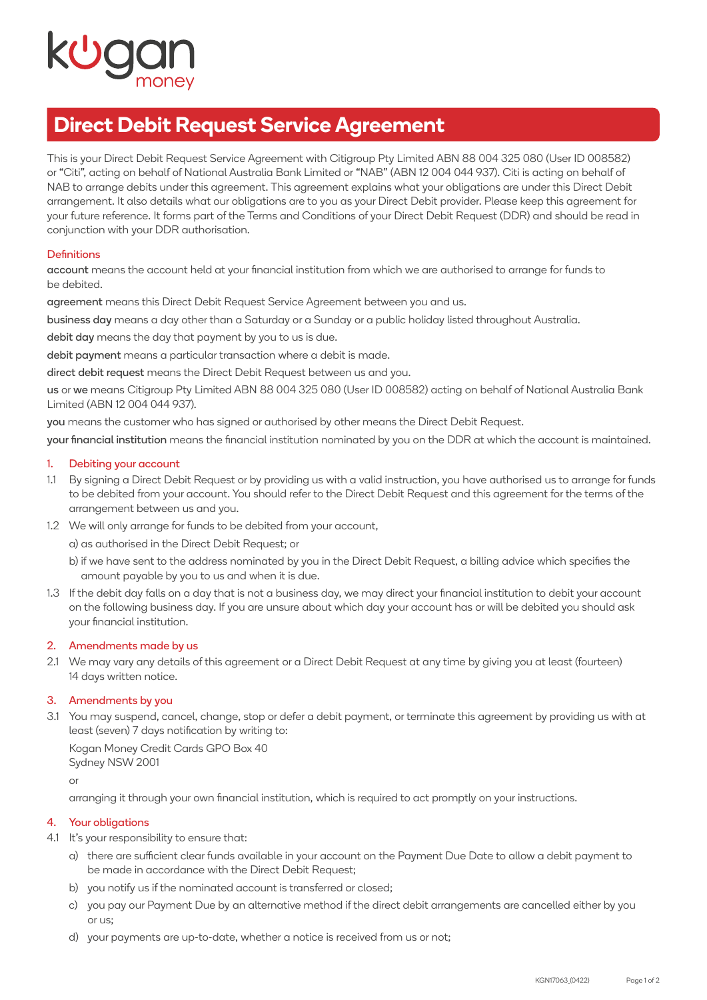# **Direct Debit Request Service Agreement**

This is your Direct Debit Request Service Agreement with Citigroup Pty Limited ABN 88 004 325 080 (User ID 008582) or "Citi", acting on behalf of National Australia Bank Limited or "NAB" (ABN 12 004 044 937). Citi is acting on behalf of NAB to arrange debits under this agreement. This agreement explains what your obligations are under this Direct Debit arrangement. It also details what our obligations are to you as your Direct Debit provider. Please keep this agreement for your future reference. It forms part of the Terms and Conditions of your Direct Debit Request (DDR) and should be read in conjunction with your DDR authorisation.

# **Definitions**

account means the account held at your financial institution from which we are authorised to arrange for funds to be debited.

agreement means this Direct Debit Request Service Agreement between you and us.

business day means a day other than a Saturday or a Sunday or a public holiday listed throughout Australia.

debit day means the day that payment by you to us is due.

debit payment means a particular transaction where a debit is made.

direct debit request means the Direct Debit Request between us and you.

us or we means Citigroup Pty Limited ABN 88 004 325 080 (User ID 008582) acting on behalf of National Australia Bank Limited (ABN 12 004 044 937).

you means the customer who has signed or authorised by other means the Direct Debit Request.

your financial institution means the financial institution nominated by you on the DDR at which the account is maintained.

#### 1. Debiting your account

- 1.1 By signing a Direct Debit Request or by providing us with a valid instruction, you have authorised us to arrange for funds to be debited from your account. You should refer to the Direct Debit Request and this agreement for the terms of the arrangement between us and you.
- 1.2 We will only arrange for funds to be debited from your account,

a) as authorised in the Direct Debit Request; or

- b) if we have sent to the address nominated by you in the Direct Debit Request, a billing advice which specifies the amount payable by you to us and when it is due.
- 1.3 If the debit day falls on a day that is not a business day, we may direct your financial institution to debit your account on the following business day. If you are unsure about which day your account has or will be debited you should ask your financial institution.

#### 2. Amendments made by us

2.1 We may vary any details of this agreement or a Direct Debit Request at any time by giving you at least (fourteen) 14 days written notice.

### 3. Amendments by you

3.1 You may suspend, cancel, change, stop or defer a debit payment, or terminate this agreement by providing us with at least (seven) 7 days notification by writing to:

 Kogan Money Credit Cards GPO Box 40 Sydney NSW 2001

or

arranging it through your own financial institution, which is required to act promptly on your instructions.

#### 4. Your obligations

4.1 It's your responsibility to ensure that:

- a) there are sufficient clear funds available in your account on the Payment Due Date to allow a debit payment to be made in accordance with the Direct Debit Request;
- b) you notify us if the nominated account is transferred or closed;
- c) you pay our Payment Due by an alternative method if the direct debit arrangements are cancelled either by you or us;
- d) your payments are up-to-date, whether a notice is received from us or not;